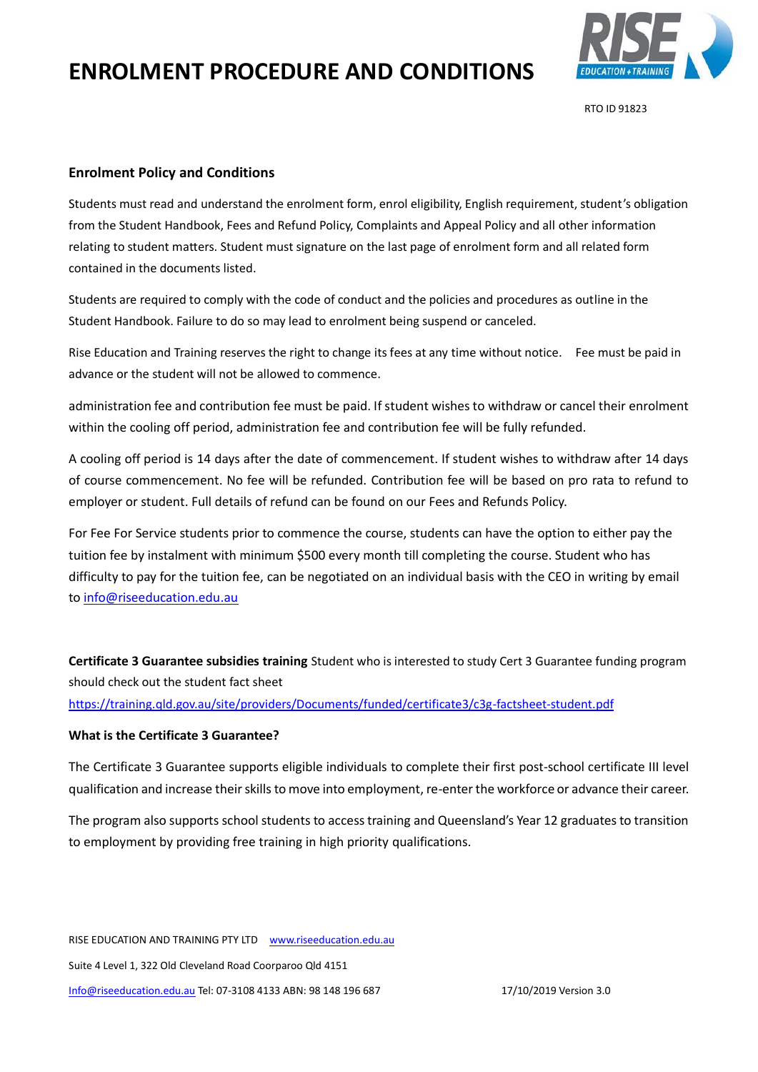

RTO ID 91823

#### **Enrolment Policy and Conditions**

Students must read and understand the enrolment form, enrol eligibility, English requirement, student's obligation from the Student Handbook, Fees and Refund Policy, Complaints and Appeal Policy and all other information relating to student matters. Student must signature on the last page of enrolment form and all related form contained in the documents listed.

Students are required to comply with the code of conduct and the policies and procedures as outline in the Student Handbook. Failure to do so may lead to enrolment being suspend or canceled.

Rise Education and Training reserves the right to change its fees at any time without notice. Fee must be paid in advance or the student will not be allowed to commence.

administration fee and contribution fee must be paid. If student wishes to withdraw or cancel their enrolment within the cooling off period, administration fee and contribution fee will be fully refunded.

A cooling off period is 14 days after the date of commencement. If student wishes to withdraw after 14 days of course commencement. No fee will be refunded. Contribution fee will be based on pro rata to refund to employer or student. Full details of refund can be found on our Fees and Refunds Policy.

For Fee For Service students prior to commence the course, students can have the option to either pay the tuition fee by instalment with minimum \$500 every month till completing the course. Student who has difficulty to pay for the tuition fee, can be negotiated on an individual basis with the CEO in writing by email to [info@riseeducation.edu.au](mailto:info@riseeducation.edu.au)

**Certificate 3 Guarantee subsidies training** Student who is interested to study Cert 3 Guarantee funding program should check out the student fact sheet

<https://training.qld.gov.au/site/providers/Documents/funded/certificate3/c3g-factsheet-student.pdf>

#### **What is the Certificate 3 Guarantee?**

The Certificate 3 Guarantee supports eligible individuals to complete their first post-school certificate III level qualification and increase their skills to move into employment, re-enter the workforce or advance their career.

The program also supports school students to access training and Queensland's Year 12 graduates to transition to employment by providing free training in high priority qualifications.

RISE EDUCATION AND TRAINING PTY LTD www.riseeducation.edu.au Suite 4 Level 1, 322 Old Cleveland Road Coorparoo Qld 4151 [Info@riseeducation.edu.au](mailto:Info@riseeducation.edu.au) Tel: 07-3108 4133 ABN: 98 148 196 687 17/10/2019 Version 3.0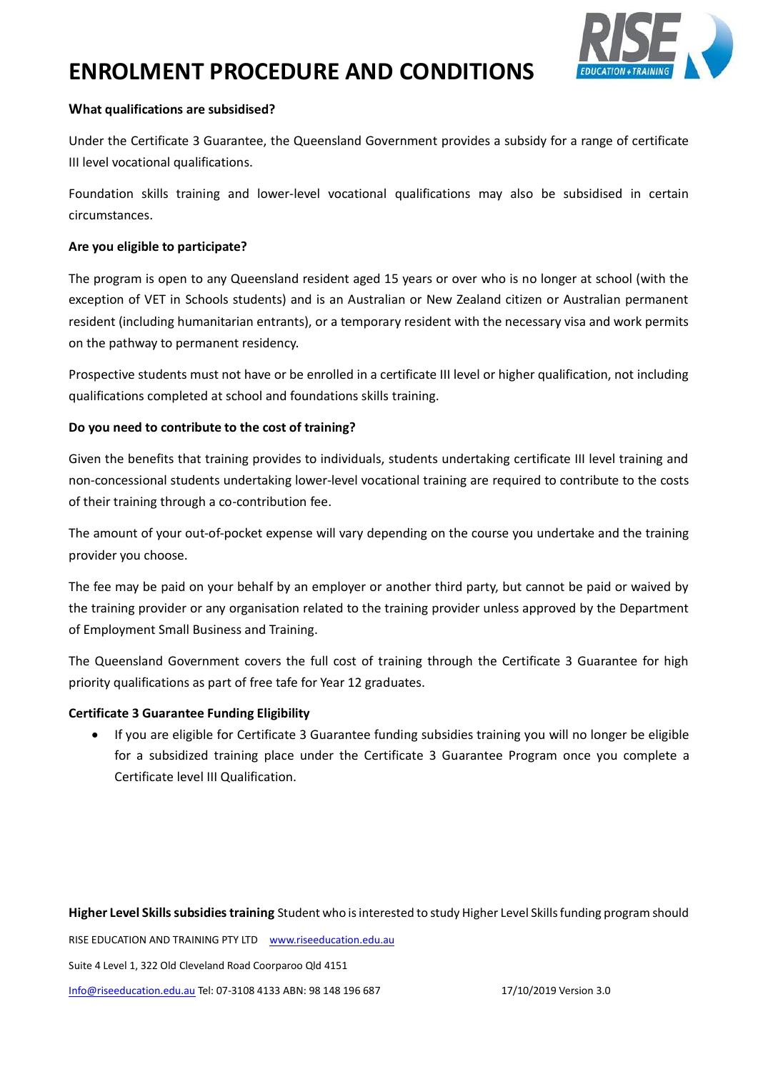

### **What qualifications are subsidised?**

Under the Certificate 3 Guarantee, the Queensland Government provides a subsidy for a range of certificate III level vocational qualifications.

Foundation skills training and lower-level vocational qualifications may also be subsidised in certain circumstances.

### **Are you eligible to participate?**

The program is open to any Queensland resident aged 15 years or over who is no longer at school (with the exception of VET in Schools students) and is an Australian or New Zealand citizen or Australian permanent resident (including humanitarian entrants), or a temporary resident with the necessary visa and work permits on the pathway to permanent residency.

Prospective students must not have or be enrolled in a certificate III level or higher qualification, not including qualifications completed at school and foundations skills training.

# **Do you need to contribute to the cost of training?**

Given the benefits that training provides to individuals, students undertaking certificate III level training and non-concessional students undertaking lower-level vocational training are required to contribute to the costs of their training through a co-contribution fee.

The amount of your out-of-pocket expense will vary depending on the course you undertake and the training provider you choose.

The fee may be paid on your behalf by an employer or another third party, but cannot be paid or waived by the training provider or any organisation related to the training provider unless approved by the Department of Employment Small Business and Training.

The Queensland Government covers the full cost of training through the Certificate 3 Guarantee for high priority qualifications as part of free tafe for Year 12 graduates.

# **Certificate 3 Guarantee Funding Eligibility**

• If you are eligible for Certificate 3 Guarantee funding subsidies training you will no longer be eligible for a subsidized training place under the Certificate 3 Guarantee Program once you complete a Certificate level III Qualification.

**Higher Level Skills subsidies training** Student who is interested to study Higher Level Skills funding program should

RISE EDUCATION AND TRAINING PTY LTD www.riseeducation.edu.au

Suite 4 Level 1, 322 Old Cleveland Road Coorparoo Qld 4151

[Info@riseeducation.edu.au](mailto:Info@riseeducation.edu.au) Tel: 07-3108 4133 ABN: 98 148 196 687 17/10/2019 Version 3.0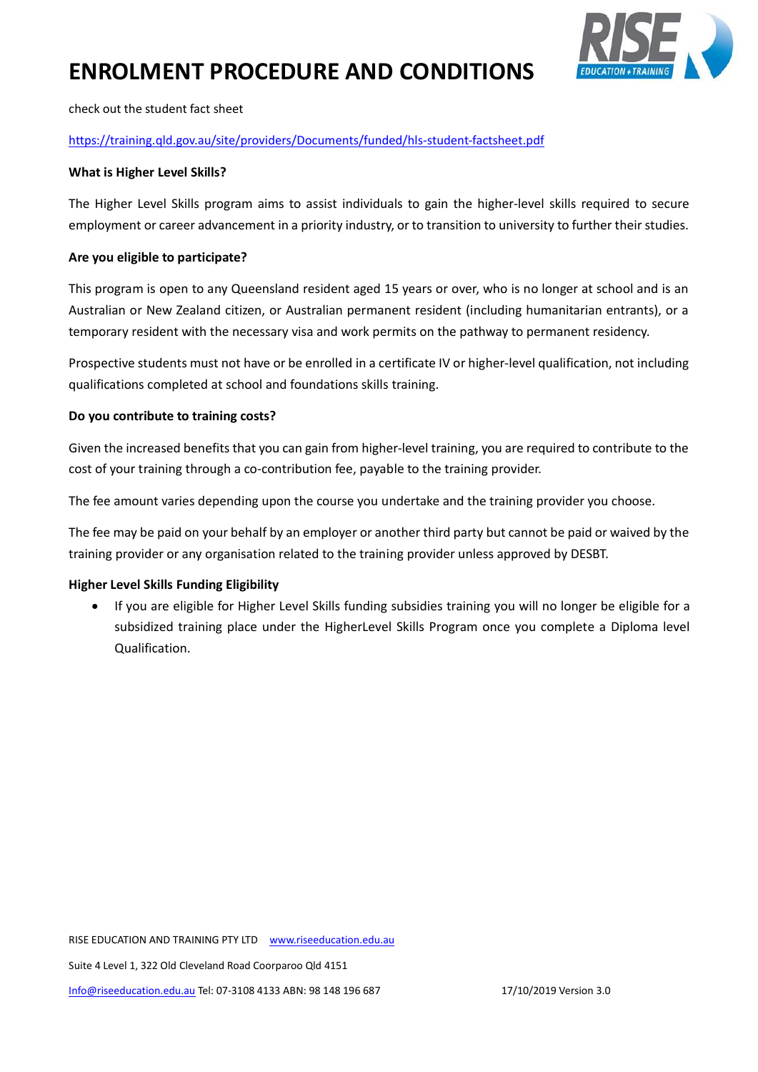

check out the student fact sheet

### <https://training.qld.gov.au/site/providers/Documents/funded/hls-student-factsheet.pdf>

#### **What is Higher Level Skills?**

The Higher Level Skills program aims to assist individuals to gain the higher-level skills required to secure employment or career advancement in a priority industry, or to transition to university to further their studies.

#### **Are you eligible to participate?**

This program is open to any Queensland resident aged 15 years or over, who is no longer at school and is an Australian or New Zealand citizen, or Australian permanent resident (including humanitarian entrants), or a temporary resident with the necessary visa and work permits on the pathway to permanent residency.

Prospective students must not have or be enrolled in a certificate IV or higher-level qualification, not including qualifications completed at school and foundations skills training.

#### **Do you contribute to training costs?**

Given the increased benefits that you can gain from higher-level training, you are required to contribute to the cost of your training through a co-contribution fee, payable to the training provider.

The fee amount varies depending upon the course you undertake and the training provider you choose.

The fee may be paid on your behalf by an employer or another third party but cannot be paid or waived by the training provider or any organisation related to the training provider unless approved by DESBT.

#### **Higher Level Skills Funding Eligibility**

• If you are eligible for Higher Level Skills funding subsidies training you will no longer be eligible for a subsidized training place under the HigherLevel Skills Program once you complete a Diploma level Qualification.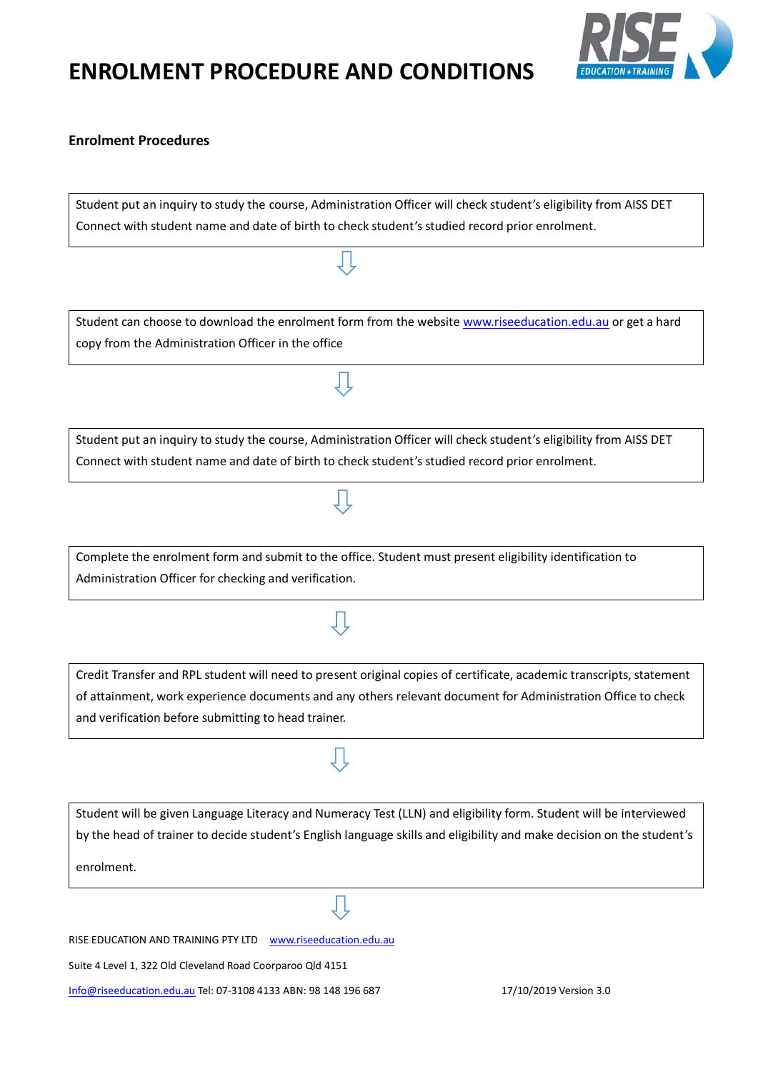

### **Enrolment Procedures**

Student put an inquiry to study the course, Administration Officer will check student's eligibility from AISS DET Connect with student name and date of birth to check student's studied record prior enrolment.

Student can choose to download the enrolment form from the websit[e www.riseeducation.edu.au](http://www.riseeducation.edu.au/) or get a hard copy from the Administration Officer in the office

Student put an inquiry to study the course, Administration Officer will check student's eligibility from AISS DET Connect with student name and date of birth to check student's studied record prior enrolment.

Complete the enrolment form and submit to the office. Student must present eligibility identification to Administration Officer for checking and verification.

Credit Transfer and RPL student will need to present original copies of certificate, academic transcripts, statement of attainment, work experience documents and any others relevant document for Administration Office to check and verification before submitting to head trainer.

Student will be given Language Literacy and Numeracy Test (LLN) and eligibility form. Student will be interviewed by the head of trainer to decide student's English language skills and eligibility and make decision on the student's enrolment.

RISE EDUCATION AND TRAINING PTY LTD www.riseeducation.edu.au

Suite 4 Level 1, 322 Old Cleveland Road Coorparoo Qld 4151

[Info@riseeducation.edu.au](mailto:Info@riseeducation.edu.au) Tel: 07-3108 4133 ABN: 98 148 196 687 17/10/2019 Version 3.0